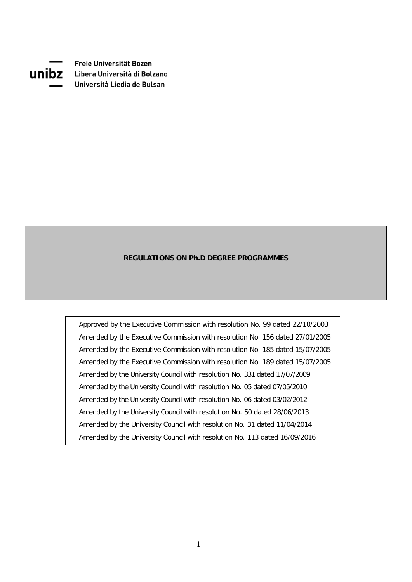

Freie Universität Bozen **UNIDZ** Libera Università di Bolzano Università Liedia de Bulsan

#### **REGULATIONS ON Ph.D DEGREE PROGRAMMES**

Approved by the Executive Commission with resolution No. 99 dated 22/10/2003 Amended by the Executive Commission with resolution No. 156 dated 27/01/2005 Amended by the Executive Commission with resolution No. 185 dated 15/07/2005 Amended by the Executive Commission with resolution No. 189 dated 15/07/2005 Amended by the University Council with resolution No. 331 dated 17/07/2009 Amended by the University Council with resolution No. 05 dated 07/05/2010 Amended by the University Council with resolution No. 06 dated 03/02/2012 Amended by the University Council with resolution No. 50 dated 28/06/2013 Amended by the University Council with resolution No. 31 dated 11/04/2014 Amended by the University Council with resolution No. 113 dated 16/09/2016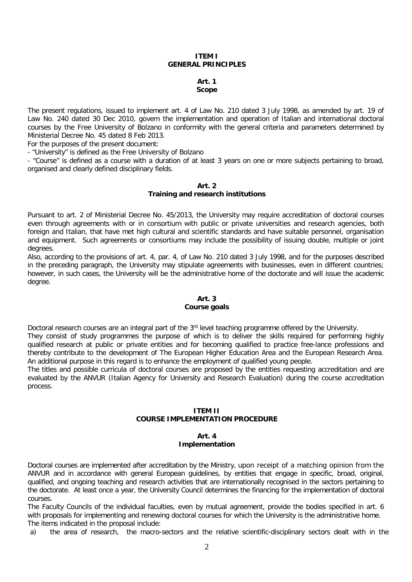#### **ITEM I GENERAL PRINCIPLES**

#### **Art. 1 Scope**

The present regulations, issued to implement art. 4 of Law No. 210 dated 3 July 1998, as amended by art. 19 of Law No. 240 dated 30 Dec 2010, govern the implementation and operation of Italian and international doctoral courses by the Free University of Bolzano in conformity with the general criteria and parameters determined by Ministerial Decree No. 45 dated 8 Feb 2013.

For the purposes of the present document:

- "University" is defined as the Free University of Bolzano

- "Course" is defined as a course with a duration of at least 3 years on one or more subjects pertaining to broad, organised and clearly defined disciplinary fields.

#### **Art. 2 Training and research institutions**

Pursuant to art. 2 of Ministerial Decree No. 45/2013, the University may require accreditation of doctoral courses even through agreements with or in consortium with public or private universities and research agencies, both foreign and Italian, that have met high cultural and scientific standards and have suitable personnel, organisation and equipment. Such agreements or consortiums may include the possibility of issuing double, multiple or joint degrees.

Also, according to the provisions of art. 4, par. 4, of Law No. 210 dated 3 July 1998, and for the purposes described in the preceding paragraph, the University may stipulate agreements with businesses, even in different countries; however, in such cases, the University will be the administrative home of the doctorate and will issue the academic degree.

# **Art. 3**

## **Course goals**

Doctoral research courses are an integral part of the 3<sup>rd</sup> level teaching programme offered by the University. They consist of study programmes the purpose of which is to deliver the skills required for performing highly qualified research at public or private entities and for becoming qualified to practice free-lance professions and thereby contribute to the development of The European Higher Education Area and the European Research Area. An additional purpose in this regard is to enhance the employment of qualified young people.

The titles and possible curricula of doctoral courses are proposed by the entities requesting accreditation and are evaluated by the ANVUR (Italian Agency for University and Research Evaluation) during the course accreditation process.

#### **ITEM II**

## **COURSE IMPLEMENTATION PROCEDURE**

## **Art. 4 Implementation**

Doctoral courses are implemented after accreditation by the Ministry, upon receipt of a matching opinion from the ANVUR and in accordance with general European guidelines, by entities that engage in specific, broad, original, qualified, and ongoing teaching and research activities that are internationally recognised in the sectors pertaining to the doctorate. At least once a year, the University Council determines the financing for the implementation of doctoral courses.

The Faculty Councils of the individual faculties, even by mutual agreement, provide the bodies specified in art. 6 with proposals for implementing and renewing doctoral courses for which the University is the administrative home. The items indicated in the proposal include:

a) the area of research, the macro-sectors and the relative scientific-disciplinary sectors dealt with in the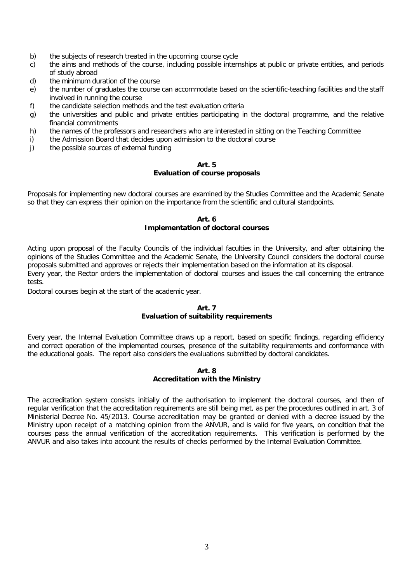- b) the subjects of research treated in the upcoming course cycle c) the aims and methods of the course, including possible interi
- c) the aims and methods of the course, including possible internships at public or private entities, and periods of study abroad
- d) the minimum duration of the course
- e) the number of graduates the course can accommodate based on the scientific-teaching facilities and the staff involved in running the course
- f) the candidate selection methods and the test evaluation criteria
- g) the universities and public and private entities participating in the doctoral programme, and the relative financial commitments
- h) the names of the professors and researchers who are interested in sitting on the Teaching Committee
- i) the Admission Board that decides upon admission to the doctoral course<br>i) the possible sources of external funding
- the possible sources of external funding

#### **Art. 5 Evaluation of course proposals**

Proposals for implementing new doctoral courses are examined by the Studies Committee and the Academic Senate so that they can express their opinion on the importance from the scientific and cultural standpoints.

#### **Art. 6 Implementation of doctoral courses**

Acting upon proposal of the Faculty Councils of the individual faculties in the University, and after obtaining the opinions of the Studies Committee and the Academic Senate, the University Council considers the doctoral course proposals submitted and approves or rejects their implementation based on the information at its disposal. Every year, the Rector orders the implementation of doctoral courses and issues the call concerning the entrance tests.

Doctoral courses begin at the start of the academic year.

#### **Art. 7 Evaluation of suitability requirements**

Every year, the Internal Evaluation Committee draws up a report, based on specific findings, regarding efficiency and correct operation of the implemented courses, presence of the suitability requirements and conformance with the educational goals. The report also considers the evaluations submitted by doctoral candidates.

#### **Art. 8 Accreditation with the Ministry**

The accreditation system consists initially of the authorisation to implement the doctoral courses, and then of regular verification that the accreditation requirements are still being met, as per the procedures outlined in art. 3 of Ministerial Decree No. 45/2013. Course accreditation may be granted or denied with a decree issued by the Ministry upon receipt of a matching opinion from the ANVUR, and is valid for five years, on condition that the courses pass the annual verification of the accreditation requirements. This verification is performed by the ANVUR and also takes into account the results of checks performed by the Internal Evaluation Committee.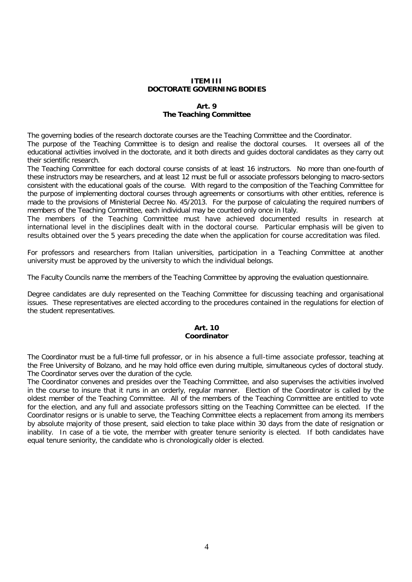## **ITEM III DOCTORATE GOVERNING BODIES**

## **Art. 9 The Teaching Committee**

The governing bodies of the research doctorate courses are the Teaching Committee and the Coordinator.

The purpose of the Teaching Committee is to design and realise the doctoral courses. It oversees all of the educational activities involved in the doctorate, and it both directs and guides doctoral candidates as they carry out their scientific research.

The Teaching Committee for each doctoral course consists of at least 16 instructors. No more than one-fourth of these instructors may be researchers, and at least 12 must be full or associate professors belonging to macro-sectors consistent with the educational goals of the course. With regard to the composition of the Teaching Committee for the purpose of implementing doctoral courses through agreements or consortiums with other entities, reference is made to the provisions of Ministerial Decree No. 45/2013. For the purpose of calculating the required numbers of members of the Teaching Committee, each individual may be counted only once in Italy.

The members of the Teaching Committee must have achieved documented results in research at international level in the disciplines dealt with in the doctoral course. Particular emphasis will be given to results obtained over the 5 years preceding the date when the application for course accreditation was filed.

For professors and researchers from Italian universities, participation in a Teaching Committee at another university must be approved by the university to which the individual belongs.

The Faculty Councils name the members of the Teaching Committee by approving the evaluation questionnaire.

Degree candidates are duly represented on the Teaching Committee for discussing teaching and organisational issues. These representatives are elected according to the procedures contained in the regulations for election of the student representatives.

#### **Art. 10 Coordinator**

The Coordinator must be a full-time full professor, or in his absence a full-time associate professor, teaching at the Free University of Bolzano, and he may hold office even during multiple, simultaneous cycles of doctoral study. The Coordinator serves over the duration of the cycle.

The Coordinator convenes and presides over the Teaching Committee, and also supervises the activities involved in the course to insure that it runs in an orderly, regular manner. Election of the Coordinator is called by the oldest member of the Teaching Committee. All of the members of the Teaching Committee are entitled to vote for the election, and any full and associate professors sitting on the Teaching Committee can be elected. If the Coordinator resigns or is unable to serve, the Teaching Committee elects a replacement from among its members by absolute majority of those present, said election to take place within 30 days from the date of resignation or inability. In case of a tie vote, the member with greater tenure seniority is elected. If both candidates have equal tenure seniority, the candidate who is chronologically older is elected.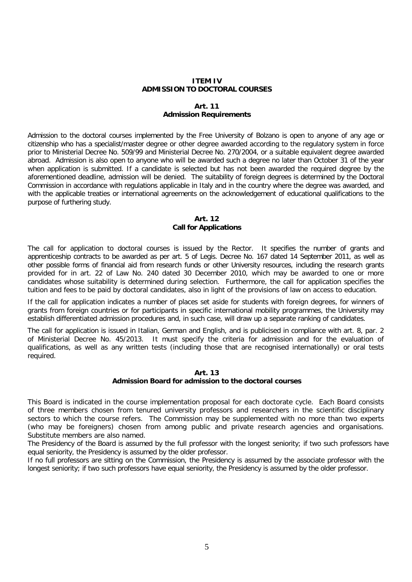#### **ITEM IV ADMISSION TO DOCTORAL COURSES**

#### **Art. 11 Admission Requirements**

Admission to the doctoral courses implemented by the Free University of Bolzano is open to anyone of any age or citizenship who has a specialist/master degree or other degree awarded according to the regulatory system in force prior to Ministerial Decree No. 509/99 and Ministerial Decree No. 270/2004, or a suitable equivalent degree awarded abroad. Admission is also open to anyone who will be awarded such a degree no later than October 31 of the year when application is submitted. If a candidate is selected but has not been awarded the required degree by the aforementioned deadline, admission will be denied. The suitability of foreign degrees is determined by the Doctoral Commission in accordance with regulations applicable in Italy and in the country where the degree was awarded, and with the applicable treaties or international agreements on the acknowledgement of educational qualifications to the purpose of furthering study.

#### **Art. 12 Call for Applications**

The call for application to doctoral courses is issued by the Rector. It specifies the number of grants and apprenticeship contracts to be awarded as per art. 5 of Legis. Decree No. 167 dated 14 September 2011, as well as other possible forms of financial aid from research funds or other University resources, including the research grants provided for in art. 22 of Law No. 240 dated 30 December 2010, which may be awarded to one or more candidates whose suitability is determined during selection. Furthermore, the call for application specifies the tuition and fees to be paid by doctoral candidates, also in light of the provisions of law on access to education.

If the call for application indicates a number of places set aside for students with foreign degrees, for winners of grants from foreign countries or for participants in specific international mobility programmes, the University may establish differentiated admission procedures and, in such case, will draw up a separate ranking of candidates.

The call for application is issued in Italian, German and English, and is publicised in compliance with art. 8, par. 2 of Ministerial Decree No. 45/2013. It must specify the criteria for admission and for the evaluation of qualifications, as well as any written tests (including those that are recognised internationally) or oral tests required.

## **Art. 13**

## **Admission Board for admission to the doctoral courses**

This Board is indicated in the course implementation proposal for each doctorate cycle. Each Board consists of three members chosen from tenured university professors and researchers in the scientific disciplinary sectors to which the course refers. The Commission may be supplemented with no more than two experts (who may be foreigners) chosen from among public and private research agencies and organisations. Substitute members are also named.

The Presidency of the Board is assumed by the full professor with the longest seniority; if two such professors have equal seniority, the Presidency is assumed by the older professor.

If no full professors are sitting on the Commission, the Presidency is assumed by the associate professor with the longest seniority; if two such professors have equal seniority, the Presidency is assumed by the older professor.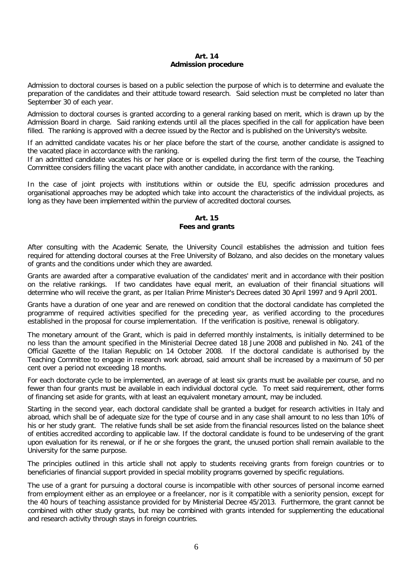#### **Art. 14 Admission procedure**

Admission to doctoral courses is based on a public selection the purpose of which is to determine and evaluate the preparation of the candidates and their attitude toward research. Said selection must be completed no later than September 30 of each year.

Admission to doctoral courses is granted according to a general ranking based on merit, which is drawn up by the Admission Board in charge. Said ranking extends until all the places specified in the call for application have been filled. The ranking is approved with a decree issued by the Rector and is published on the University's website.

If an admitted candidate vacates his or her place before the start of the course, another candidate is assigned to the vacated place in accordance with the ranking.

If an admitted candidate vacates his or her place or is expelled during the first term of the course, the Teaching Committee considers filling the vacant place with another candidate, in accordance with the ranking.

In the case of joint projects with institutions within or outside the EU, specific admission procedures and organisational approaches may be adopted which take into account the characteristics of the individual projects, as long as they have been implemented within the purview of accredited doctoral courses.

## **Art. 15 Fees and grants**

After consulting with the Academic Senate, the University Council establishes the admission and tuition fees required for attending doctoral courses at the Free University of Bolzano, and also decides on the monetary values of grants and the conditions under which they are awarded.

Grants are awarded after a comparative evaluation of the candidates' merit and in accordance with their position on the relative rankings. If two candidates have equal merit, an evaluation of their financial situations will determine who will receive the grant, as per Italian Prime Minister's Decrees dated 30 April 1997 and 9 April 2001.

Grants have a duration of one year and are renewed on condition that the doctoral candidate has completed the programme of required activities specified for the preceding year, as verified according to the procedures established in the proposal for course implementation. If the verification is positive, renewal is obligatory.

The monetary amount of the Grant, which is paid in deferred monthly instalments, is initially determined to be no less than the amount specified in the Ministerial Decree dated 18 June 2008 and published in No. 241 of the Official Gazette of the Italian Republic on 14 October 2008. If the doctoral candidate is authorised by the Teaching Committee to engage in research work abroad, said amount shall be increased by a maximum of 50 per cent over a period not exceeding 18 months.

For each doctorate cycle to be implemented, an average of at least six grants must be available per course, and no fewer than four grants must be available in each individual doctoral cycle. To meet said requirement, other forms of financing set aside for grants, with at least an equivalent monetary amount, may be included.

Starting in the second year, each doctoral candidate shall be granted a budget for research activities in Italy and abroad, which shall be of adequate size for the type of course and in any case shall amount to no less than 10% of his or her study grant. The relative funds shall be set aside from the financial resources listed on the balance sheet of entities accredited according to applicable law. If the doctoral candidate is found to be undeserving of the grant upon evaluation for its renewal, or if he or she forgoes the grant, the unused portion shall remain available to the University for the same purpose.

The principles outlined in this article shall not apply to students receiving grants from foreign countries or to beneficiaries of financial support provided in special mobility programs governed by specific regulations.

The use of a grant for pursuing a doctoral course is incompatible with other sources of personal income earned from employment either as an employee or a freelancer, nor is it compatible with a seniority pension, except for the 40 hours of teaching assistance provided for by Ministerial Decree 45/2013. Furthermore, the grant cannot be combined with other study grants, but may be combined with grants intended for supplementing the educational and research activity through stays in foreign countries.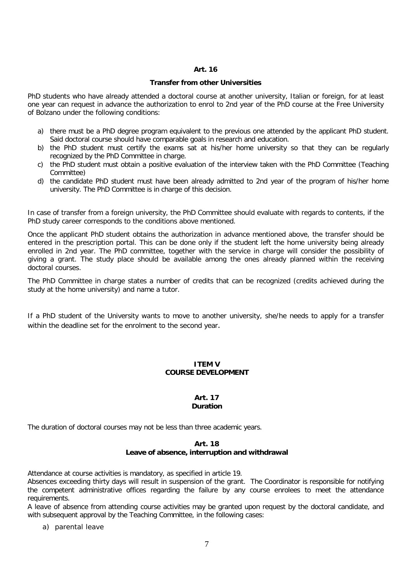## **Art. 16**

#### **Transfer from other Universities**

PhD students who have already attended a doctoral course at another university, Italian or foreign, for at least one year can request in advance the authorization to enrol to 2nd year of the PhD course at the Free University of Bolzano under the following conditions:

- a) there must be a PhD degree program equivalent to the previous one attended by the applicant PhD student. Said doctoral course should have comparable goals in research and education.
- b) the PhD student must certify the exams sat at his/her home university so that they can be regularly recognized by the PhD Committee in charge.
- c) the PhD student must obtain a positive evaluation of the interview taken with the PhD Committee (Teaching Committee)
- d) the candidate PhD student must have been already admitted to 2nd year of the program of his/her home university. The PhD Committee is in charge of this decision.

In case of transfer from a foreign university, the PhD Committee should evaluate with regards to contents, if the PhD study career corresponds to the conditions above mentioned.

Once the applicant PhD student obtains the authorization in advance mentioned above, the transfer should be entered in the prescription portal. This can be done only if the student left the home university being already enrolled in 2nd year. The PhD committee, together with the service in charge will consider the possibility of giving a grant. The study place should be available among the ones already planned within the receiving doctoral courses.

The PhD Committee in charge states a number of credits that can be recognized (credits achieved during the study at the home university) and name a tutor.

If a PhD student of the University wants to move to another university, she/he needs to apply for a transfer within the deadline set for the enrolment to the second year.

## **ITEM V COURSE DEVELOPMENT**

#### **Art. 17 Duration**

The duration of doctoral courses may not be less than three academic years.

#### **Art. 18 Leave of absence, interruption and withdrawal**

Attendance at course activities is mandatory, as specified in article 19.

Absences exceeding thirty days will result in suspension of the grant. The Coordinator is responsible for notifying the competent administrative offices regarding the failure by any course enrolees to meet the attendance requirements.

A leave of absence from attending course activities may be granted upon request by the doctoral candidate, and with subsequent approval by the Teaching Committee, in the following cases:

a) parental leave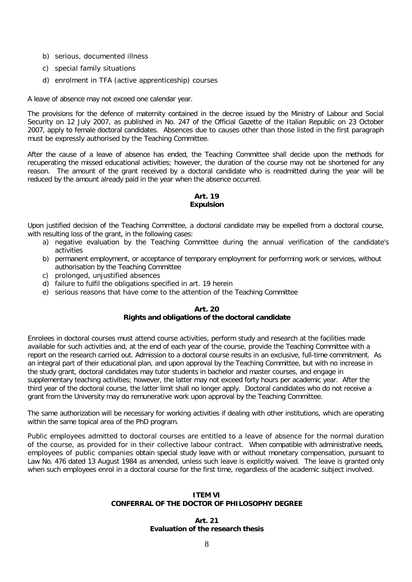- b) serious, documented illness
- c) special family situations
- d) enrolment in TFA (active apprenticeship) courses

A leave of absence may not exceed one calendar year.

The provisions for the defence of maternity contained in the decree issued by the Ministry of Labour and Social Security on 12 July 2007, as published in No. 247 of the Official Gazette of the Italian Republic on 23 October 2007, apply to female doctoral candidates. Absences due to causes other than those listed in the first paragraph must be expressly authorised by the Teaching Committee.

After the cause of a leave of absence has ended, the Teaching Committee shall decide upon the methods for recuperating the missed educational activities; however, the duration of the course may not be shortened for any reason. The amount of the grant received by a doctoral candidate who is readmitted during the year will be reduced by the amount already paid in the year when the absence occurred.

## **Art. 19 Expulsion**

Upon justified decision of the Teaching Committee, a doctoral candidate may be expelled from a doctoral course, with resulting loss of the grant, in the following cases:

- a) negative evaluation by the Teaching Committee during the annual verification of the candidate's activities
- b) permanent employment, or acceptance of temporary employment for performing work or services, without authorisation by the Teaching Committee
- c) prolonged, unjustified absences
- d) failure to fulfil the obligations specified in art. 19 herein
- e) serious reasons that have come to the attention of the Teaching Committee

## **Art. 20**

## **Rights and obligations of the doctoral candidate**

Enrolees in doctoral courses must attend course activities, perform study and research at the facilities made available for such activities and, at the end of each year of the course, provide the Teaching Committee with a report on the research carried out. Admission to a doctoral course results in an exclusive, full-time commitment. As an integral part of their educational plan, and upon approval by the Teaching Committee, but with no increase in the study grant, doctoral candidates may tutor students in bachelor and master courses, and engage in supplementary teaching activities; however, the latter may not exceed forty hours per academic year. After the third year of the doctoral course, the latter limit shall no longer apply. Doctoral candidates who do not receive a grant from the University may do remunerative work upon approval by the Teaching Committee.

The same authorization will be necessary for working activities if dealing with other institutions, which are operating within the same topical area of the PhD program.

Public employees admitted to doctoral courses are entitled to a leave of absence for the normal duration of the course, as provided for in their collective labour contract. When compatible with administrative needs, employees of public companies obtain special study leave with or without monetary compensation, pursuant to Law No. 476 dated 13 August 1984 as amended, unless such leave is explicitly waived. The leave is granted only when such employees enrol in a doctoral course for the first time, regardless of the academic subject involved.

## **ITEM VI CONFERRAL OF THE DOCTOR OF PHILOSOPHY DEGREE**

#### **Art. 21 Evaluation of the research thesis**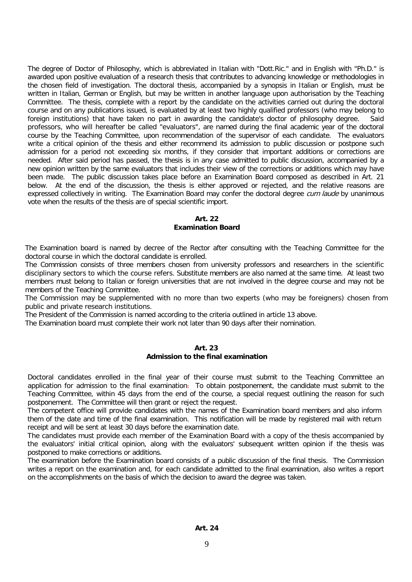The degree of Doctor of Philosophy, which is abbreviated in Italian with "Dott.Ric." and in English with "Ph.D." is awarded upon positive evaluation of a research thesis that contributes to advancing knowledge or methodologies in the chosen field of investigation. The doctoral thesis, accompanied by a synopsis in Italian or English, must be written in Italian, German or English, but may be written in another language upon authorisation by the Teaching Committee. The thesis, complete with a report by the candidate on the activities carried out during the doctoral course and on any publications issued, is evaluated by at least two highly qualified professors (who may belong to foreign institutions) that have taken no part in awarding the candidate's doctor of philosophy degree. Said professors, who will hereafter be called "evaluators", are named during the final academic year of the doctoral course by the Teaching Committee, upon recommendation of the supervisor of each candidate. The evaluators write a critical opinion of the thesis and either recommend its admission to public discussion or postpone such admission for a period not exceeding six months, if they consider that important additions or corrections are needed. After said period has passed, the thesis is in any case admitted to public discussion, accompanied by a new opinion written by the same evaluators that includes their view of the corrections or additions which may have been made. The public discussion takes place before an Examination Board composed as described in Art. 21 below. At the end of the discussion, the thesis is either approved or rejected, and the relative reasons are expressed collectively in writing. The Examination Board may confer the doctoral degree cum laude by unanimous vote when the results of the thesis are of special scientific import.

## **Art. 22 Examination Board**

The Examination board is named by decree of the Rector after consulting with the Teaching Committee for the doctoral course in which the doctoral candidate is enrolled.

The Commission consists of three members chosen from university professors and researchers in the scientific disciplinary sectors to which the course refers. Substitute members are also named at the same time. At least two members must belong to Italian or foreign universities that are not involved in the degree course and may not be members of the Teaching Committee.

The Commission may be supplemented with no more than two experts (who may be foreigners) chosen from public and private research institutions.

The President of the Commission is named according to the criteria outlined in article 13 above.

The Examination board must complete their work not later than 90 days after their nomination.

## **Art. 23**

## **Admission to the final examination**

Doctoral candidates enrolled in the final year of their course must submit to the Teaching Committee an application for admission to the final examination. To obtain postponement, the candidate must submit to the Teaching Committee, within 45 days from the end of the course, a special request outlining the reason for such postponement. The Committee will then grant or reject the request.

The competent office will provide candidates with the names of the Examination board members and also inform them of the date and time of the final examination. This notification will be made by registered mail with return receipt and will be sent at least 30 days before the examination date.

The candidates must provide each member of the Examination Board with a copy of the thesis accompanied by the evaluators' initial critical opinion, along with the evaluators' subsequent written opinion if the thesis was postponed to make corrections or additions.

The examination before the Examination board consists of a public discussion of the final thesis. The Commission writes a report on the examination and, for each candidate admitted to the final examination, also writes a report on the accomplishments on the basis of which the decision to award the degree was taken.